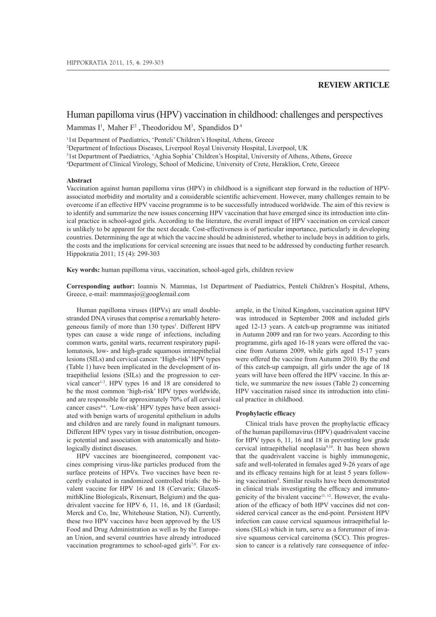# **REVIEW ARTICLE**

# Human papilloma virus (HPV) vaccination in childhood: challenges and perspectives Mammas I<sup>1</sup>, Maher  $F^2$ , Theodoridou M<sup>3</sup>, Spandidos D<sup>4</sup>

<sup>1</sup>1st Department of Paediatrics, 'Penteli' Children's Hospital, Athens, Greece

<sup>2</sup>Department of Infectious Diseases, Liverpool Royal University Hospital, Liverpool, UK

<sup>3</sup>1st Department of Paediatrics, 'Aghia Sophia' Children's Hospital, University of Athens, Athens, Greece

<sup>4</sup>Department of Clinical Virology, School of Medicine, University of Crete, Heraklion, Crete, Greece

#### **Abstract**

Vaccination against human papilloma virus (HPV) in childhood is a significant step forward in the reduction of HPVassociated morbidity and mortality and a considerable scientific achievement. However, many challenges remain to be overcome if an effective HPV vaccine programme is to be successfully introduced worldwide. The aim of this review is to identify and summarize the new issues concerning HPV vaccination that have emerged since its introduction into clinical practice in school-aged girls. According to the literature, the overall impact of HPV vaccination on cervical cancer is unlikely to be apparent for the next decade. Cost-effectiveness is of particular importance, particularly in developing countries. Determining the age at which the vaccine should be administered, whether to include boys in addition to girls, the costs and the implications for cervical screening are issues that need to be addressed by conducting further research. Hippokratia 2011; 15 (4): 299-303

**Key words:** human papilloma virus, vaccination, school-aged girls, children review

**Corresponding author:** Ioannis N. Mammas, 1st Department of Paediatrics, Penteli Children's Hospital, Athens, Greece, e-mail: mammasjo@googlemail.com

Human papilloma viruses (HPVs) are small doublestranded DNA viruses that comprise a remarkably heterogeneous family of more than 130 types<sup>1</sup>. Different HPV types can cause a wide range of infections, including common warts, genital warts, recurrent respiratory papillomatosis, low- and high-grade squamous intraepithelial lesions (SILs) and cervical cancer. 'High-risk' HPV types (Table 1) have been implicated in the development of intraepithelial lesions (SILs) and the progression to cervical cancer<sup>1-3</sup>. HPV types 16 and 18 are considered to be the most common 'high-risk' HPV types worldwide, and are responsible for approximately 70% of all cervical cancer cases<sup>4-6</sup>. 'Low-risk' HPV types have been associated with benign warts of urogenital epithelium in adults and children and are rarely found in malignant tumours. Different HPV types vary in tissue distribution, oncogenic potential and association with anatomically and histologically distinct diseases.

HPV vaccines are bioengineered, component vaccines comprising virus-like particles produced from the surface proteins of HPVs. Two vaccines have been recently evaluated in randomized controlled trials: the bivalent vaccine for HPV 16 and 18 (Cervarix; GlaxoSmithKline Biologicals, Rixensart, Belgium) and the quadrivalent vaccine for HPV 6, 11, 16, and 18 (Gardasil; Merck and Co, Inc, Whitehouse Station, NJ). Currently, these two HPV vaccines have been approved by the US Food and Drug Administration as well as by the European Union, and several countries have already introduced vaccination programmes to school-aged girls<sup>7,8</sup>. For example, in the United Kingdom, vaccination against HPV was introduced in September 2008 and included girls aged 12-13 years. A catch-up programme was initiated in Autumn 2009 and ran for two years. According to this programme, girls aged 16-18 years were offered the vaccine from Autumn 2009, while girls aged 15-17 years were offered the vaccine from Autumn 2010. By the end of this catch-up campaign, all girls under the age of 18 years will have been offered the HPV vaccine. In this article, we summarize the new issues (Table 2) concerning HPV vaccination raised since its introduction into clinical practice in childhood.

# **Prophylactic efficacy**

Clinical trials have proven the prophylactic efficacy of the human papillomavirus (HPV) quadrivalent vaccine for HPV types 6, 11, 16 and 18 in preventing low grade cervical intraepithelial neoplasia9,10. It has been shown that the quadrivalent vaccine is highly immunogenic, safe and well-tolerated in females aged 9-26 years of age and its efficacy remains high for at least 5 years following vaccination<sup>9</sup>. Similar results have been demonstrated in clinical trials investigating the efficacy and immunogenicity of the bivalent vaccine11, 12. However, the evaluation of the efficacy of both HPV vaccines did not considered cervical cancer as the end-point. Persistent HPV infection can cause cervical squamous intraepithelial lesions (SILs) which in turn, serve as a forerunner of invasive squamous cervical carcinoma (SCC). This progression to cancer is a relatively rare consequence of infec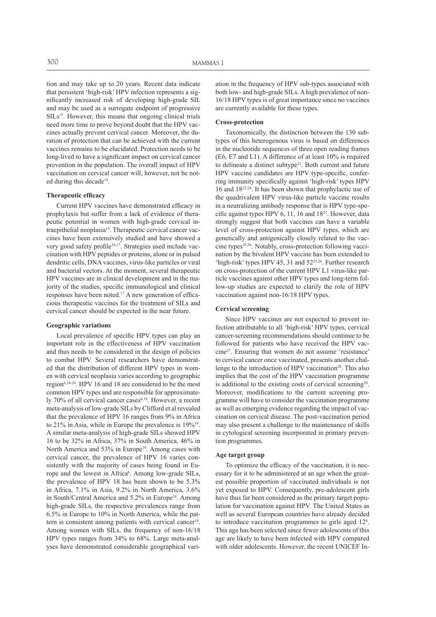tion and may take up to 20 years. Recent data indicate that persistent 'high-risk' HPV infection represents a significantly increased risk of developing high-grade SIL and may be used as a surrogate endpoint of progressive  $SILs<sup>13</sup>$ . However, this means that ongoing clinical trials need more time to prove beyond doubt that the HPV vaccines actually prevent cervical cancer. Moreover, the duration of protection that can be achieved with the current vaccines remains to be elucidated. Protection needs to be long-lived to have a significant impact on cervical cancer prevention in the population. The overall impact of HPV vaccination on cervical cancer will, however, not be noted during this decade<sup>14</sup>.

### **Therapeutic efficacy**

Current HPV vaccines have demonstrated efficacy in prophylaxis but suffer from a lack of evidence of therapeutic potential in women with high-grade cervical intraepithelial neoplasia<sup>15</sup>. Therapeutic cervical cancer vaccines have been extensively studied and have showed a very good safety profile<sup>16,17</sup>. Strategies used include vaccination with HPV peptides or proteins, alone or in pulsed dendritic cells, DNA vaccines, virus-like particles or viral and bacterial vectors. At the moment, several therapeutic HPV vaccines are in clinical development and in the majority of the studies, specific immunological and clinical responses have been noted.17 A new generation of efficacious therapeutic vaccines for the treatment of SILs and cervical cancer should be expected in the near future.

#### **Geographic variations**

Local prevalence of specific HPV types can play an important role in the effectiveness of HPV vaccination and thus needs to be considered in the design of policies to combat HPV. Several researchers have demonstrated that the distribution of different HPV types in women with cervical neoplasia varies according to geographic region<sup>6,18-20</sup>. HPV 16 and 18 are considered to be the most common HPV types and are responsible for approximately 70% of all cervical cancer cases<sup>6,19</sup>. However, a recent meta-analysis of low-grade SILs by Clifford et al revealed that the prevalence of HPV 16 ranges from 9% in Africa to 21% in Asia, while in Europe the prevalence is 19%<sup>18</sup> . A similar meta-analysis of high-grade SILs showed HPV 16 to be 32% in Africa, 37% in South America, 46% in North America and 53% in Europe<sup>19</sup>. Among cases with cervical cancer, the prevalence of HPV 16 varies consistently with the majority of cases being found in Europe and the lowest in Africa<sup>6</sup>. Among low-grade SILs, the prevalence of HPV 18 has been shown to be 5.3% in Africa, 7.1% in Asia, 9.2% in North America, 3.6% in South/Central America and 5.2% in Europe<sup>18</sup>. Among high-grade SILs, the respective prevalences range from 6.5% in Europe to 10% in North America, while the pattern is consistent among patients with cervical cancer<sup>19</sup>. Among women with SILs, the frequency of non-16/18 HPV types ranges from 34% to 68%. Large meta-analyses have demonstrated considerable geographical variation in the frequency of HPV sub-types associated with both low- and high-grade SILs. A high prevalence of non-16/18 HPV types is of great importance since no vaccines are currently available for these types.

#### **Cross-protection**

Taxonomically, the distinction between the 130 subtypes of this heterogenous virus is based on differences in the nucleotide sequences of three open reading frames (E6, E7 and L1). A difference of at least 10% is required to delineate a distinct subtype<sup>21</sup>. Both current and future HPV vaccine candidates are HPV type-specific, conferring immunity specifically against 'high-risk' types HPV 16 and 1822-24. It has been shown that prophylactic use of the quadrivalent HPV virus-like particle vaccine results in a neutralizing antibody response that is HPV type-specific against types HPV 6, 11, 16 and 18<sup>22</sup>. However, data strongly suggest that both vaccines can have a variable level of cross-protection against HPV types, which are genetically and antigenically closely related to the vaccine types<sup>25,26</sup>. Notably, cross-protection following vaccination by the bivalent HPV vaccine has been extended to 'high-risk' types HPV 45, 31 and 5223,26. Further research on cross-protection of the current HPV L1 virus-like particle vaccines against other HPV types and long-term follow-up studies are expected to clarify the role of HPV vaccination against non-16/18 HPV types.

## **Cervical screening**

Since HPV vaccines are not expected to prevent infection attributable to all 'high-risk' HPV types, cervical cancer-screening recommendations should continue to be followed for patients who have received the HPV vaccine<sup>27</sup>. Ensuring that women do not assume 'resistance' to cervical cancer once vaccinated, presents another challenge to the introduction of HPV vaccination<sup>28</sup>. This also implies that the cost of the HPV vaccination programme is additional to the existing costs of cervical screening<sup>29</sup>. Moreover, modifications to the current screening programme will have to consider the vaccination programme as well as emerging evidence regarding the impact of vaccination on cervical disease. The post-vaccination period may also present a challenge to the maintenance of skills in cytological screening incorporated in primary prevention programmes.

#### **Age target group**

To optimize the efficacy of the vaccination, it is necessary for it to be administered at an age when the greatest possible proportion of vaccinated individuals is not yet exposed to HPV. Consequently, pre-adolescent girls have thus far been considered as the primary target population for vaccination against HPV. The United States as well as several European countries have already decided to introduce vaccination programmes to girls aged 12<sup>8</sup> . This age has been selected since fewer adolescents of this age are likely to have been infected with HPV compared with older adolescents. However, the recent UNICEF In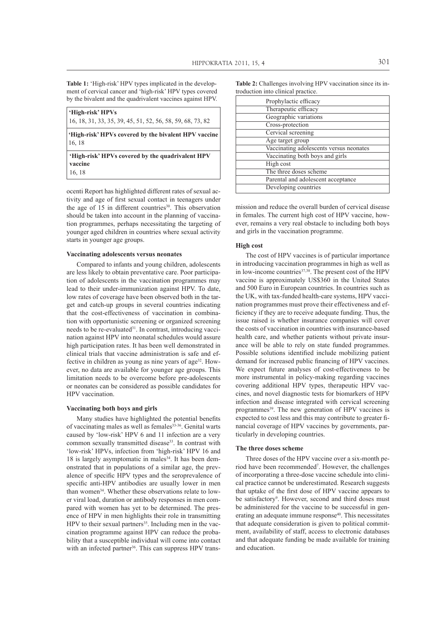**Table 1:** 'High-risk' HPV types implicated in the development of cervical cancer and 'high-risk' HPV types covered by the bivalent and the quadrivalent vaccines against HPV.

| 'High-risk' HPVs                                                      |
|-----------------------------------------------------------------------|
| 16, 18, 31, 33, 35, 39, 45, 51, 52, 56, 58, 59, 68, 73, 82            |
| 'High-risk' HPVs covered by the bivalent HPV vaccine<br> 16, 18       |
| 'High-risk' HPVs covered by the quadrivalent HPV<br>vaccine<br>16, 18 |

ocenti Report has highlighted different rates of sexual activity and age of first sexual contact in teenagers under the age of  $15$  in different countries<sup>30</sup>. This observation should be taken into account in the planning of vaccination programmes, perhaps necessitating the targeting of younger aged children in countries where sexual activity starts in younger age groups.

#### **Vaccinating adolescents versus neonates**

Compared to infants and young children, adolescents are less likely to obtain preventative care. Poor participation of adolescents in the vaccination programmes may lead to their under-immunization against HPV. To date, low rates of coverage have been observed both in the target and catch-up groups in several countries indicating that the cost-effectiveness of vaccination in combination with opportunistic screening or organized screening needs to be re-evaluated<sup>31</sup>. In contrast, introducing vaccination against HPV into neonatal schedules would assure high participation rates. It has been well demonstrated in clinical trials that vaccine administration is safe and effective in children as young as nine years of age<sup>32</sup>. However, no data are available for younger age groups. This limitation needs to be overcome before pre-adolescents or neonates can be considered as possible candidates for HPV vaccination.

#### **Vaccinating both boys and girls**

Many studies have highlighted the potential benefits of vaccinating males as well as females<sup>33-36</sup>. Genital warts caused by 'low-risk' HPV 6 and 11 infection are a very common sexually transmitted disease<sup>33</sup>. In contrast with 'low-risk' HPVs, infection from 'high-risk' HPV 16 and  $18$  is largely asymptomatic in males<sup>34</sup>. It has been demonstrated that in populations of a similar age, the prevalence of specific HPV types and the seroprevalence of specific anti-HPV antibodies are usually lower in men than women<sup>34</sup>. Whether these observations relate to lower viral load, duration or antibody responses in men compared with women has yet to be determined. The presence of HPV in men highlights their role in transmitting HPV to their sexual partners<sup>35</sup>. Including men in the vaccination programme against HPV can reduce the probability that a susceptible individual will come into contact with an infected partner<sup>36</sup>. This can suppress HPV trans**Table 2:** Challenges involving HPV vaccination since its introduction into clinical practice.

| Prophylactic efficacy                   |  |
|-----------------------------------------|--|
| Therapeutic efficacy                    |  |
| Geographic variations                   |  |
| Cross-protection                        |  |
| Cervical screening                      |  |
| Age target group                        |  |
| Vaccinating adolescents versus neonates |  |
| Vaccinating both boys and girls         |  |
| High cost                               |  |
| The three doses scheme                  |  |
| Parental and adolescent acceptance      |  |
| Developing countries                    |  |

mission and reduce the overall burden of cervical disease in females. The current high cost of HPV vaccine, however, remains a very real obstacle to including both boys and girls in the vaccination programme.

#### **High cost**

The cost of HPV vaccines is of particular importance in introducing vaccination programmes in high as well as in low-income countries<sup>37,38</sup>. The present cost of the HPV vaccine is approximately US\$360 in the United States and 500 Euro in European countries. In countries such as the UK, with tax-funded health-care systems, HPV vaccination programmes must prove their effectiveness and efficiency if they are to receive adequate funding. Thus, the issue raised is whether insurance companies will cover the costs of vaccination in countries with insurance-based health care, and whether patients without private insurance will be able to rely on state funded programmes. Possible solutions identified include mobilizing patient demand for increased public financing of HPV vaccines. We expect future analyses of cost-effectiveness to be more instrumental in policy-making regarding vaccines covering additional HPV types, therapeutic HPV vaccines, and novel diagnostic tests for biomarkers of HPV infection and disease integrated with cervical screening programmes<sup>39</sup>. The new generation of HPV vaccines is expected to cost less and this may contribute to greater financial coverage of HPV vaccines by governments, particularly in developing countries.

#### **The three doses scheme**

Three doses of the HPV vaccine over a six-month period have been recommended<sup>7</sup>. However, the challenges of incorporating a three-dose vaccine schedule into clinical practice cannot be underestimated. Research suggests that uptake of the first dose of HPV vaccine appears to be satisfactory<sup>9</sup>. However, second and third doses must be administered for the vaccine to be successful in generating an adequate immune response<sup>40</sup>. This necessitates that adequate consideration is given to political commitment, availability of staff, access to electronic databases and that adequate funding be made available for training and education.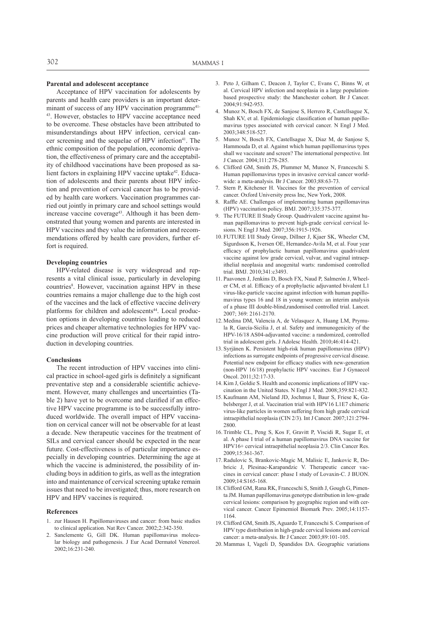## **Parental and adolescent acceptance**

Acceptance of HPV vaccination for adolescents by parents and health care providers is an important determinant of success of any HPV vaccination programme<sup>41-</sup> <sup>43</sup>. However, obstacles to HPV vaccine acceptance need to be overcome. These obstacles have been attributed to misunderstandings about HPV infection, cervical cancer screening and the sequelae of HPV infection<sup>41</sup>. The ethnic composition of the population, economic deprivation, the effectiveness of primary care and the acceptability of childhood vaccinations have been proposed as salient factors in explaining HPV vaccine uptake<sup>42</sup>. Education of adolescents and their parents about HPV infection and prevention of cervical cancer has to be provided by health care workers. Vaccination programmes carried out jointly in primary care and school settings would increase vaccine coverage<sup>43</sup>. Although it has been demonstrated that young women and parents are interested in HPV vaccines and they value the information and recommendations offered by health care providers, further effort is required.

#### **Developing countries**

HPV-related disease is very widespread and represents a vital clinical issue, particularly in developing countries<sup>8</sup>. However, vaccination against HPV in these countries remains a major challenge due to the high cost of the vaccines and the lack of effective vaccine delivery platforms for children and adolescents<sup>44</sup>. Local production options in developing countries leading to reduced prices and cheaper alternative technologies for HPV vaccine production will prove critical for their rapid introduction in developing countries.

#### **Conclusions**

The recent introduction of HPV vaccines into clinical practice in school-aged girls is definitely a significant preventative step and a considerable scientific achievement. However, many challenges and uncertainties (Table 2) have yet to be overcome and clarified if an effective HPV vaccine programme is to be successfully introduced worldwide. The overall impact of HPV vaccination on cervical cancer will not be observable for at least a decade. New therapeutic vaccines for the treatment of SILs and cervical cancer should be expected in the near future. Cost-effectiveness is of particular importance especially in developing countries. Determining the age at which the vaccine is administered, the possibility of including boys in addition to girls, as well as the integration into and maintenance of cervical screening uptake remain issues that need to be investigated; thus, more research on HPV and HPV vaccines is required.

#### **References**

- 1. zur Hausen H. Papillomaviruses and cancer: from basic studies to clinical application. Nat Rev Cancer. 2002;2:342-350.
- 2. Sanclemente G, Gill DK. Human papillomavirus molecular biology and pathogenesis. J Eur Acad Dermatol Venereol. 2002;16:231-240.
- 3. Peto J, Gilham C, Deacon J, Taylor C, Evans C, Binns W, et al. Cervical HPV infection and neoplasia in a large populationbased prospective study: the Manchester cohort. Br J Cancer. 2004;91:942-953.
- 4. Munoz N, Bosch FX, de Sanjose S, Herrero R, Castellsague X, Shah KV, et al. Epidemiologic classification of human papillomavirus types associated with cervical cancer. N Engl J Med. 2003;348:518-527.
- 5. Munoz N, Bosch FX, Castellsague X, Diaz M, de Sanjose S, Hammouda D, et al. Against which human papillomavirus types shall we vaccinate and screen? The international perspective. Int J Cancer. 2004;111:278-285.
- 6. Clifford GM, Smith JS, Plummer M, Munoz N, Franceschi S. Human papillomavirus types in invasive cervical cancer worldwide: a meta-analysis. Br J Cancer. 2003;88:63-73.
- 7. Stern P, Kitchener H. Vaccines for the prevention of cervical cancer. Oxford University press Inc, New York, 2008.
- Raffle AE. Challenges of implementing human papillomavirus (HPV) vaccination policy. BMJ. 2007;335:375-377.
- 9. The FUTURE II Study Group. Quadrivalent vaccine against human papillomavirus to prevent high-grade cervical cervical lesions. N Engl J Med. 2007;356:1915-1926.
- 10. FUTURE I/II Study Group, Dillner J, Kjaer SK, Wheeler CM, Sigurdsson K, Iversen OE, Hernandez-Avila M, et al. Four year efficacy of prophylactic human papillomavirus quadrivalent vaccine against low grade cervical, vulvar, and vaginal intraepithelial neoplasia and anogenital warts: randomised controlled trial. BMJ. 2010;341:c3493.
- 11. Paavonen J, Jenkins D, Bosch FX, Naud P, Salmerón J, Wheeler CM, et al. Efficacy of a prophylactic adjuvanted bivalent L1 virus-like-particle vaccine against infection with human papillomavirus types 16 and 18 in young women: an interim analysis of a phase III double-blind,randomised controlled trial. Lancet. 2007; 369: 2161-2170.
- 12. Medina DM, Valencia A, de Velasquez A, Huang LM, Prymula R, García-Sicilia J, et al. Safety and immunogenicity of the HPV-16/18 AS04-adjuvanted vaccine: a randomized, controlled trial in adolescent girls. J Adolesc Health. 2010;46:414-421.
- 13. Syrjänen K. Persistent high-risk human papillomavirus (HPV) infections as surrogate endpoints of progressive cervical disease. Potential new endpoint for efficacy studies with new-generation (non-HPV 16/18) prophylactic HPV vaccines. Eur J Gynaecol Oncol. 2011;32:17-33.
- 14. Kim J, Goldie S. Health and economic implications of HPV vaccination in the United States. N Engl J Med. 2008;359:821-832.
- 15. Kaufmann AM, Nieland JD, Jochmus I, Baur S, Friese K, Gabelsberger J, et al. Vaccination trial with HPV16 L1E7 chimeric virus-like particles in women suffering from high grade cervical intraepithelial neoplasia (CIN 2/3). Int J Cancer. 2007;121:2794- 2800.
- 16. Trimble CL, Peng S, Kos F, Gravitt P, Viscidi R, Sugar E, et al. A phase I trial of a human papillomavirus DNA vaccine for HPV16+ cervical intraepithelial neoplasia 2/3. Clin Cancer Res. 2009;15:361-367.
- 17. Radulovic S, Brankovic-Magic M, Malisic E, Jankovic R, Dobricic J, Plesinac-Karapandzic V. Therapeutic cancer vaccines in cervical cancer: phase I study of Lovaxin-C. J BUON. 2009;14:S165-168.
- 18. Clifford GM, Rana RK, Franceschi S, Smith J, Gough G, Pimenta JM. Human papillomavirus genotype distribution in low-grade cervical lesions: comparison by geographic region and with cervical cancer. Cancer Epimemiol Biomark Prev. 2005;14:1157- 1164.
- 19. Clifford GM, Smith JS, Aguardo T, Franceschi S. Comparison of HPV type distribution in high-grade cervical lesions and cervical cancer: a meta-analysis. Br J Cancer. 2003;89:101-105.
- 20. Mammas I, Vageli D, Spandidos DA. Geographic variations